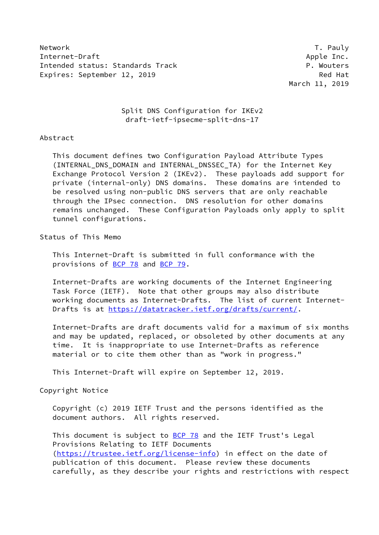Network T. Pauly Internet-Draft Apple Inc. Intended status: Standards Track P. Wouters Expires: September 12, 2019 Red Hat

March 11, 2019

 Split DNS Configuration for IKEv2 draft-ietf-ipsecme-split-dns-17

#### Abstract

 This document defines two Configuration Payload Attribute Types (INTERNAL\_DNS\_DOMAIN and INTERNAL\_DNSSEC\_TA) for the Internet Key Exchange Protocol Version 2 (IKEv2). These payloads add support for private (internal-only) DNS domains. These domains are intended to be resolved using non-public DNS servers that are only reachable through the IPsec connection. DNS resolution for other domains remains unchanged. These Configuration Payloads only apply to split tunnel configurations.

Status of This Memo

 This Internet-Draft is submitted in full conformance with the provisions of [BCP 78](https://datatracker.ietf.org/doc/pdf/bcp78) and [BCP 79](https://datatracker.ietf.org/doc/pdf/bcp79).

 Internet-Drafts are working documents of the Internet Engineering Task Force (IETF). Note that other groups may also distribute working documents as Internet-Drafts. The list of current Internet- Drafts is at<https://datatracker.ietf.org/drafts/current/>.

 Internet-Drafts are draft documents valid for a maximum of six months and may be updated, replaced, or obsoleted by other documents at any time. It is inappropriate to use Internet-Drafts as reference material or to cite them other than as "work in progress."

This Internet-Draft will expire on September 12, 2019.

Copyright Notice

 Copyright (c) 2019 IETF Trust and the persons identified as the document authors. All rights reserved.

This document is subject to **[BCP 78](https://datatracker.ietf.org/doc/pdf/bcp78)** and the IETF Trust's Legal Provisions Relating to IETF Documents [\(https://trustee.ietf.org/license-info](https://trustee.ietf.org/license-info)) in effect on the date of publication of this document. Please review these documents carefully, as they describe your rights and restrictions with respect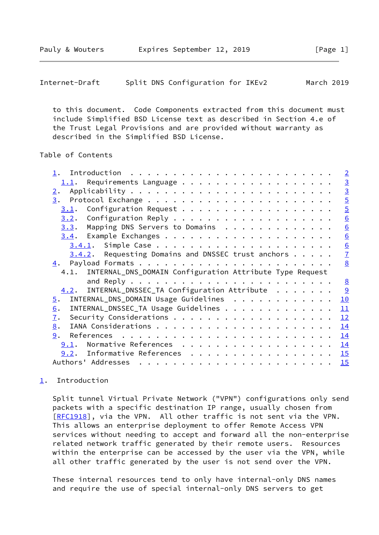<span id="page-1-1"></span> to this document. Code Components extracted from this document must include Simplified BSD License text as described in Section 4.e of the Trust Legal Provisions and are provided without warranty as described in the Simplified BSD License.

# Table of Contents

|                                                                                                                                                                                                                                                     | $\overline{2}$  |
|-----------------------------------------------------------------------------------------------------------------------------------------------------------------------------------------------------------------------------------------------------|-----------------|
| $1.1$ . Requirements Language                                                                                                                                                                                                                       |                 |
| 2.                                                                                                                                                                                                                                                  | $\frac{3}{3}$   |
|                                                                                                                                                                                                                                                     | $\overline{5}$  |
| 3.1.                                                                                                                                                                                                                                                | $\overline{5}$  |
| 3.2.                                                                                                                                                                                                                                                | $\underline{6}$ |
| Mapping DNS Servers to Domains<br>3.3.                                                                                                                                                                                                              | 6               |
|                                                                                                                                                                                                                                                     | $\underline{6}$ |
|                                                                                                                                                                                                                                                     | $\underline{6}$ |
| $3.4.2$ . Requesting Domains and DNSSEC trust anchors                                                                                                                                                                                               | $\overline{1}$  |
| 4.                                                                                                                                                                                                                                                  | 8               |
| 4.1. INTERNAL_DNS_DOMAIN Configuration Attribute Type Request                                                                                                                                                                                       |                 |
|                                                                                                                                                                                                                                                     |                 |
|                                                                                                                                                                                                                                                     | 8               |
| INTERNAL_DNSSEC_TA Configuration Attribute<br>4.2.                                                                                                                                                                                                  |                 |
| INTERNAL_DNS_DOMAIN Usage Guidelines<br>$\overline{5}$ .                                                                                                                                                                                            | 10              |
| INTERNAL_DNSSEC_TA Usage Guidelines<br>6.                                                                                                                                                                                                           | 11              |
| 7.                                                                                                                                                                                                                                                  | 12              |
| 8.                                                                                                                                                                                                                                                  | 14              |
| 9.                                                                                                                                                                                                                                                  | 14              |
| 9.1.                                                                                                                                                                                                                                                | 14              |
| Normative References<br>9.2. Informative References                                                                                                                                                                                                 | 15              |
| Authors' Addresses<br>. The contract of the contract of the contract of the contract of the contract of the contract of the contract of the contract of the contract of the contract of the contract of the contract of the contract of the contrac | 15              |

## <span id="page-1-0"></span>[1](#page-1-0). Introduction

 Split tunnel Virtual Private Network ("VPN") configurations only send packets with a specific destination IP range, usually chosen from [\[RFC1918](https://datatracker.ietf.org/doc/pdf/rfc1918)], via the VPN. All other traffic is not sent via the VPN. This allows an enterprise deployment to offer Remote Access VPN services without needing to accept and forward all the non-enterprise related network traffic generated by their remote users. Resources within the enterprise can be accessed by the user via the VPN, while all other traffic generated by the user is not send over the VPN.

 These internal resources tend to only have internal-only DNS names and require the use of special internal-only DNS servers to get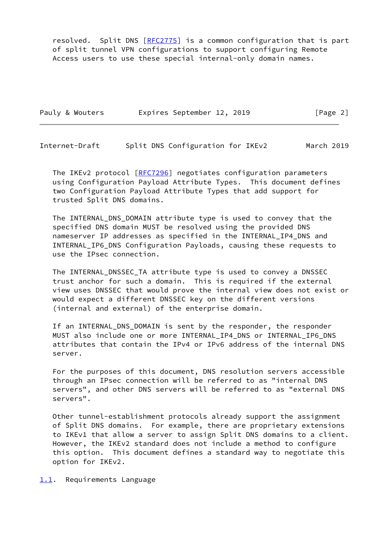resolved. Split DNS [\[RFC2775](https://datatracker.ietf.org/doc/pdf/rfc2775)] is a common configuration that is part of split tunnel VPN configurations to support configuring Remote Access users to use these special internal-only domain names.

| Pauly & Wouters |  | Expires September 12, 2019 |  |  | [Page 2] |
|-----------------|--|----------------------------|--|--|----------|
|-----------------|--|----------------------------|--|--|----------|

<span id="page-2-1"></span>Internet-Draft Split DNS Configuration for IKEv2 March 2019

The IKEv2 protocol [[RFC7296\]](https://datatracker.ietf.org/doc/pdf/rfc7296) negotiates configuration parameters using Configuration Payload Attribute Types. This document defines two Configuration Payload Attribute Types that add support for trusted Split DNS domains.

 The INTERNAL\_DNS\_DOMAIN attribute type is used to convey that the specified DNS domain MUST be resolved using the provided DNS nameserver IP addresses as specified in the INTERNAL\_IP4\_DNS and INTERNAL\_IP6\_DNS Configuration Payloads, causing these requests to use the IPsec connection.

The INTERNAL DNSSEC TA attribute type is used to convey a DNSSEC trust anchor for such a domain. This is required if the external view uses DNSSEC that would prove the internal view does not exist or would expect a different DNSSEC key on the different versions (internal and external) of the enterprise domain.

If an INTERNAL DNS DOMAIN is sent by the responder, the responder MUST also include one or more INTERNAL\_IP4\_DNS or INTERNAL\_IP6\_DNS attributes that contain the IPv4 or IPv6 address of the internal DNS server.

 For the purposes of this document, DNS resolution servers accessible through an IPsec connection will be referred to as "internal DNS servers", and other DNS servers will be referred to as "external DNS servers".

 Other tunnel-establishment protocols already support the assignment of Split DNS domains. For example, there are proprietary extensions to IKEv1 that allow a server to assign Split DNS domains to a client. However, the IKEv2 standard does not include a method to configure this option. This document defines a standard way to negotiate this option for IKEv2.

<span id="page-2-0"></span>[1.1](#page-2-0). Requirements Language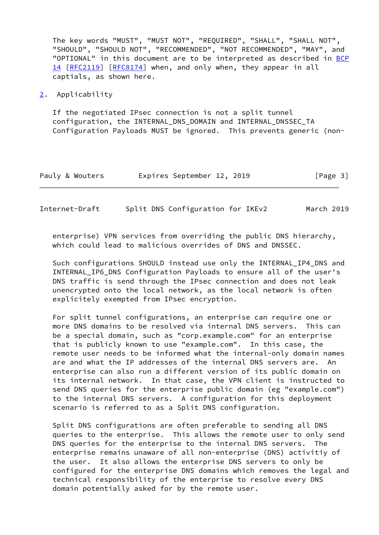The key words "MUST", "MUST NOT", "REQUIRED", "SHALL", "SHALL NOT", "SHOULD", "SHOULD NOT", "RECOMMENDED", "NOT RECOMMENDED", "MAY", and "OPTIONAL" in this document are to be interpreted as described in [BCP](https://datatracker.ietf.org/doc/pdf/bcp14) [14](https://datatracker.ietf.org/doc/pdf/bcp14) [[RFC2119\]](https://datatracker.ietf.org/doc/pdf/rfc2119) [\[RFC8174](https://datatracker.ietf.org/doc/pdf/rfc8174)] when, and only when, they appear in all captials, as shown here.

<span id="page-3-0"></span>[2](#page-3-0). Applicability

 If the negotiated IPsec connection is not a split tunnel configuration, the INTERNAL\_DNS\_DOMAIN and INTERNAL\_DNSSEC\_TA Configuration Payloads MUST be ignored. This prevents generic (non-

| Pauly & Wouters |  | Expires September 12, 2019 |  |  | [Page 3] |  |
|-----------------|--|----------------------------|--|--|----------|--|
|-----------------|--|----------------------------|--|--|----------|--|

| Internet-Draft |  | Split DNS Configuration for IKEv2 |  | March 2019 |
|----------------|--|-----------------------------------|--|------------|
|----------------|--|-----------------------------------|--|------------|

 enterprise) VPN services from overriding the public DNS hierarchy, which could lead to malicious overrides of DNS and DNSSEC.

 Such configurations SHOULD instead use only the INTERNAL\_IP4\_DNS and INTERNAL\_IP6\_DNS Configuration Payloads to ensure all of the user's DNS traffic is send through the IPsec connection and does not leak unencrypted onto the local network, as the local network is often explicitely exempted from IPsec encryption.

 For split tunnel configurations, an enterprise can require one or more DNS domains to be resolved via internal DNS servers. This can be a special domain, such as "corp.example.com" for an enterprise that is publicly known to use "example.com". In this case, the remote user needs to be informed what the internal-only domain names are and what the IP addresses of the internal DNS servers are. An enterprise can also run a different version of its public domain on its internal network. In that case, the VPN client is instructed to send DNS queries for the enterprise public domain (eg "example.com") to the internal DNS servers. A configuration for this deployment scenario is referred to as a Split DNS configuration.

 Split DNS configurations are often preferable to sending all DNS queries to the enterprise. This allows the remote user to only send DNS queries for the enterprise to the internal DNS servers. The enterprise remains unaware of all non-enterprise (DNS) activitiy of the user. It also allows the enterprise DNS servers to only be configured for the enterprise DNS domains which removes the legal and technical responsibility of the enterprise to resolve every DNS domain potentially asked for by the remote user.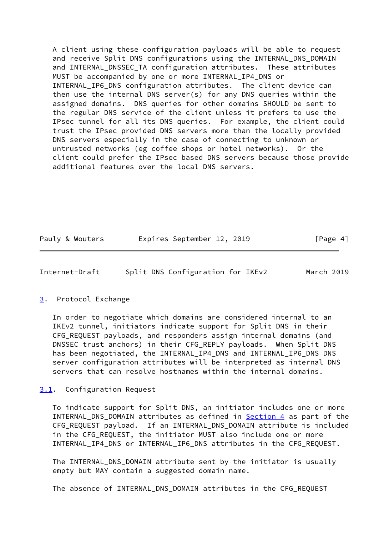A client using these configuration payloads will be able to request and receive Split DNS configurations using the INTERNAL DNS DOMAIN and INTERNAL\_DNSSEC\_TA configuration attributes. These attributes MUST be accompanied by one or more INTERNAL\_IP4\_DNS or INTERNAL\_IP6\_DNS configuration attributes. The client device can then use the internal DNS server(s) for any DNS queries within the assigned domains. DNS queries for other domains SHOULD be sent to the regular DNS service of the client unless it prefers to use the IPsec tunnel for all its DNS queries. For example, the client could trust the IPsec provided DNS servers more than the locally provided DNS servers especially in the case of connecting to unknown or untrusted networks (eg coffee shops or hotel networks). Or the client could prefer the IPsec based DNS servers because those provide additional features over the local DNS servers.

| Pauly & Wouters | Expires September 12, 2019 | [Page 4] |
|-----------------|----------------------------|----------|
|                 |                            |          |

<span id="page-4-1"></span>

| Internet-Draft | Split DNS Configuration for IKEv2 |  | March 2019 |  |
|----------------|-----------------------------------|--|------------|--|
|                |                                   |  |            |  |

#### <span id="page-4-0"></span>[3](#page-4-0). Protocol Exchange

 In order to negotiate which domains are considered internal to an IKEv2 tunnel, initiators indicate support for Split DNS in their CFG\_REQUEST payloads, and responders assign internal domains (and DNSSEC trust anchors) in their CFG\_REPLY payloads. When Split DNS has been negotiated, the INTERNAL\_IP4\_DNS and INTERNAL\_IP6\_DNS DNS server configuration attributes will be interpreted as internal DNS servers that can resolve hostnames within the internal domains.

### <span id="page-4-2"></span>[3.1](#page-4-2). Configuration Request

 To indicate support for Split DNS, an initiator includes one or more INTERNAL\_DNS\_DOMAIN attributes as defined in [Section 4](#page-8-0) as part of the CFG\_REQUEST payload. If an INTERNAL\_DNS\_DOMAIN attribute is included in the CFG\_REQUEST, the initiator MUST also include one or more INTERNAL\_IP4\_DNS or INTERNAL\_IP6\_DNS attributes in the CFG\_REQUEST.

 The INTERNAL\_DNS\_DOMAIN attribute sent by the initiator is usually empty but MAY contain a suggested domain name.

The absence of INTERNAL\_DNS\_DOMAIN attributes in the CFG\_REQUEST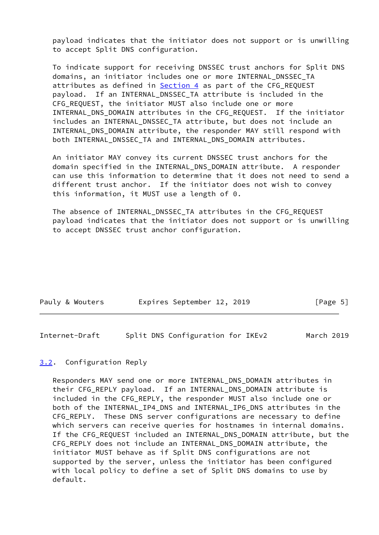payload indicates that the initiator does not support or is unwilling to accept Split DNS configuration.

 To indicate support for receiving DNSSEC trust anchors for Split DNS domains, an initiator includes one or more INTERNAL\_DNSSEC\_TA attributes as defined in **Section 4** as part of the CFG\_REQUEST payload. If an INTERNAL\_DNSSEC\_TA attribute is included in the CFG\_REQUEST, the initiator MUST also include one or more INTERNAL\_DNS\_DOMAIN attributes in the CFG\_REQUEST. If the initiator includes an INTERNAL\_DNSSEC\_TA attribute, but does not include an INTERNAL\_DNS\_DOMAIN attribute, the responder MAY still respond with both INTERNAL\_DNSSEC\_TA and INTERNAL\_DNS\_DOMAIN attributes.

 An initiator MAY convey its current DNSSEC trust anchors for the domain specified in the INTERNAL\_DNS\_DOMAIN attribute. A responder can use this information to determine that it does not need to send a different trust anchor. If the initiator does not wish to convey this information, it MUST use a length of 0.

The absence of INTERNAL DNSSEC TA attributes in the CFG REQUEST payload indicates that the initiator does not support or is unwilling to accept DNSSEC trust anchor configuration.

| Pauly & Wouters | Expires September 12, 2019 |  | [Page 5] |  |
|-----------------|----------------------------|--|----------|--|
|                 |                            |  |          |  |

<span id="page-5-1"></span>Internet-Draft Split DNS Configuration for IKEv2 March 2019

### <span id="page-5-0"></span>[3.2](#page-5-0). Configuration Reply

 Responders MAY send one or more INTERNAL\_DNS\_DOMAIN attributes in their CFG\_REPLY payload. If an INTERNAL\_DNS\_DOMAIN attribute is included in the CFG\_REPLY, the responder MUST also include one or both of the INTERNAL\_IP4\_DNS and INTERNAL\_IP6\_DNS attributes in the CFG\_REPLY. These DNS server configurations are necessary to define which servers can receive queries for hostnames in internal domains. If the CFG\_REQUEST included an INTERNAL\_DNS\_DOMAIN attribute, but the CFG REPLY does not include an INTERNAL DNS DOMAIN attribute, the initiator MUST behave as if Split DNS configurations are not supported by the server, unless the initiator has been configured with local policy to define a set of Split DNS domains to use by default.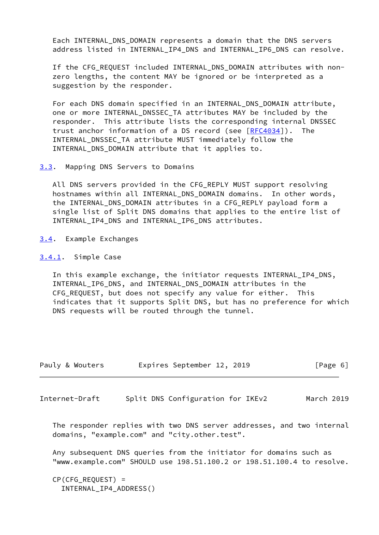Each INTERNAL\_DNS\_DOMAIN represents a domain that the DNS servers address listed in INTERNAL\_IP4\_DNS and INTERNAL\_IP6\_DNS can resolve.

If the CFG REQUEST included INTERNAL DNS DOMAIN attributes with non zero lengths, the content MAY be ignored or be interpreted as a suggestion by the responder.

 For each DNS domain specified in an INTERNAL\_DNS\_DOMAIN attribute, one or more INTERNAL\_DNSSEC\_TA attributes MAY be included by the responder. This attribute lists the corresponding internal DNSSEC trust anchor information of a DS record (see  $[REC4034]$ ). The INTERNAL\_DNSSEC\_TA attribute MUST immediately follow the INTERNAL\_DNS\_DOMAIN attribute that it applies to.

<span id="page-6-0"></span>[3.3](#page-6-0). Mapping DNS Servers to Domains

All DNS servers provided in the CFG REPLY MUST support resolving hostnames within all INTERNAL\_DNS\_DOMAIN domains. In other words, the INTERNAL DNS DOMAIN attributes in a CFG REPLY payload form a single list of Split DNS domains that applies to the entire list of INTERNAL IP4 DNS and INTERNAL IP6 DNS attributes.

<span id="page-6-1"></span>[3.4](#page-6-1). Example Exchanges

<span id="page-6-2"></span>[3.4.1](#page-6-2). Simple Case

 In this example exchange, the initiator requests INTERNAL\_IP4\_DNS, INTERNAL\_IP6\_DNS, and INTERNAL\_DNS\_DOMAIN attributes in the CFG\_REQUEST, but does not specify any value for either. This indicates that it supports Split DNS, but has no preference for which DNS requests will be routed through the tunnel.

| Pauly & Wouters |  | Expires September 12, 2019 |  |  |  | [Page 6] |  |
|-----------------|--|----------------------------|--|--|--|----------|--|
|-----------------|--|----------------------------|--|--|--|----------|--|

<span id="page-6-3"></span>Internet-Draft Split DNS Configuration for IKEv2 March 2019

 The responder replies with two DNS server addresses, and two internal domains, "example.com" and "city.other.test".

 Any subsequent DNS queries from the initiator for domains such as "www.example.com" SHOULD use 198.51.100.2 or 198.51.100.4 to resolve.

 CP(CFG\_REQUEST) = INTERNAL\_IP4\_ADDRESS()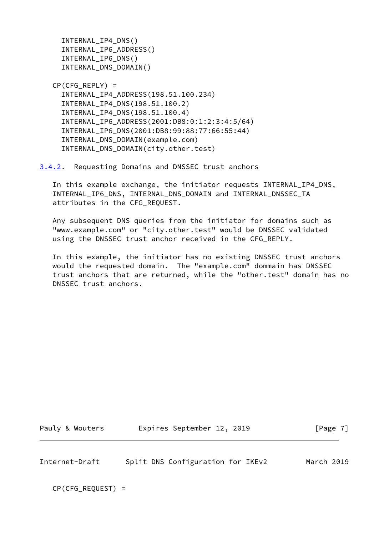INTERNAL\_IP4\_DNS() INTERNAL\_IP6\_ADDRESS() INTERNAL\_IP6\_DNS() INTERNAL\_DNS\_DOMAIN()

 $CP(CFG)$  REPLY) = INTERNAL\_IP4\_ADDRESS(198.51.100.234) INTERNAL\_IP4\_DNS(198.51.100.2) INTERNAL\_IP4\_DNS(198.51.100.4) INTERNAL\_IP6\_ADDRESS(2001:DB8:0:1:2:3:4:5/64) INTERNAL\_IP6\_DNS(2001:DB8:99:88:77:66:55:44) INTERNAL\_DNS\_DOMAIN(example.com) INTERNAL\_DNS\_DOMAIN(city.other.test)

<span id="page-7-0"></span>[3.4.2](#page-7-0). Requesting Domains and DNSSEC trust anchors

 In this example exchange, the initiator requests INTERNAL\_IP4\_DNS, INTERNAL\_IP6\_DNS, INTERNAL\_DNS\_DOMAIN and INTERNAL\_DNSSEC\_TA attributes in the CFG\_REQUEST.

 Any subsequent DNS queries from the initiator for domains such as "www.example.com" or "city.other.test" would be DNSSEC validated using the DNSSEC trust anchor received in the CFG\_REPLY.

 In this example, the initiator has no existing DNSSEC trust anchors would the requested domain. The "example.com" dommain has DNSSEC trust anchors that are returned, while the "other.test" domain has no DNSSEC trust anchors.

Pauly & Wouters **Expires September 12, 2019** [Page 7]

<span id="page-7-1"></span>Internet-Draft Split DNS Configuration for IKEv2 March 2019

CP(CFG\_REQUEST) =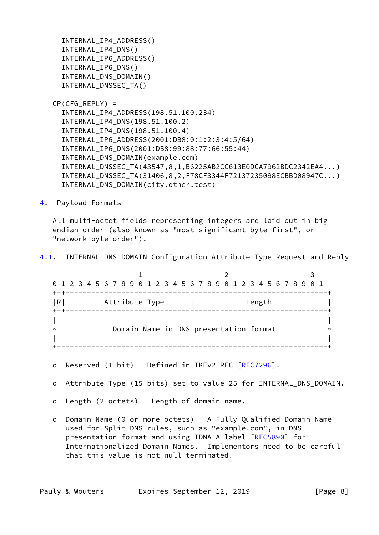```
 INTERNAL_IP4_ADDRESS()
   INTERNAL_IP4_DNS()
   INTERNAL_IP6_ADDRESS()
   INTERNAL_IP6_DNS()
   INTERNAL_DNS_DOMAIN()
   INTERNAL_DNSSEC_TA()
CP(CFG) REPLY) =
   INTERNAL_IP4_ADDRESS(198.51.100.234)
   INTERNAL_IP4_DNS(198.51.100.2)
   INTERNAL_IP4_DNS(198.51.100.4)
   INTERNAL_IP6_ADDRESS(2001:DB8:0:1:2:3:4:5/64)
   INTERNAL_IP6_DNS(2001:DB8:99:88:77:66:55:44)
   INTERNAL_DNS_DOMAIN(example.com)
   INTERNAL_DNSSEC_TA(43547,8,1,B6225AB2CC613E0DCA7962BDC2342EA4...)
   INTERNAL_DNSSEC_TA(31406,8,2,F78CF3344F72137235098ECBBD08947C...)
   INTERNAL_DNS_DOMAIN(city.other.test)
```
<span id="page-8-0"></span>[4](#page-8-0). Payload Formats

 All multi-octet fields representing integers are laid out in big endian order (also known as "most significant byte first", or "network byte order").

<span id="page-8-1"></span>[4.1](#page-8-1). INTERNAL\_DNS\_DOMAIN Configuration Attribute Type Request and Reply

|   |                                             | 0 1 2 3 4 5 6 7 8 9 0 1 2 3 4 5 6 7 8 9 0 1 2 3 4 5 6 7 8 9 0 1 |  |
|---|---------------------------------------------|-----------------------------------------------------------------|--|
| R | --------------+----------<br>Attribute Type | Length                                                          |  |
|   | -------------------+-----                   |                                                                 |  |
|   |                                             |                                                                 |  |
|   |                                             | Domain Name in DNS presentation format                          |  |
|   |                                             |                                                                 |  |

- o Reserved (1 bit) Defined in IKEv2 RFC [[RFC7296\]](https://datatracker.ietf.org/doc/pdf/rfc7296).
- o Attribute Type (15 bits) set to value 25 for INTERNAL\_DNS\_DOMAIN.
- o Length (2 octets) Length of domain name.
- o Domain Name (0 or more octets) A Fully Qualified Domain Name used for Split DNS rules, such as "example.com", in DNS presentation format and using IDNA A-label [[RFC5890](https://datatracker.ietf.org/doc/pdf/rfc5890)] for Internationalized Domain Names. Implementors need to be careful that this value is not null-terminated.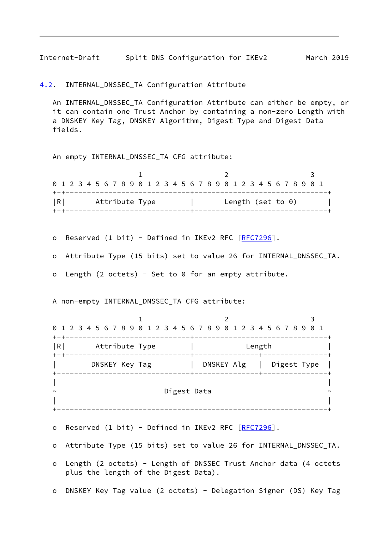<span id="page-9-1"></span>Internet-Draft Split DNS Configuration for IKEv2 March 2019

<span id="page-9-0"></span>[4.2](#page-9-0). INTERNAL\_DNSSEC\_TA Configuration Attribute

An INTERNAL DNSSEC TA Configuration Attribute can either be empty, or it can contain one Trust Anchor by containing a non-zero Length with a DNSKEY Key Tag, DNSKEY Algorithm, Digest Type and Digest Data fields.

An empty INTERNAL\_DNSSEC\_TA CFG attribute:

|   | 0 1 2 3 4 5 6 7 8 9 0 1 2 3 4 5 6 7 8 9 0 1 2 3 4 5 6 7 8 9 0 1 |                      |  |
|---|-----------------------------------------------------------------|----------------------|--|
| R | Attribute Type                                                  | Length (set to $0$ ) |  |

o Reserved (1 bit) - Defined in IKEv2 RFC [[RFC7296\]](https://datatracker.ietf.org/doc/pdf/rfc7296).

o Attribute Type (15 bits) set to value 26 for INTERNAL\_DNSSEC\_TA.

o Length (2 octets) - Set to  $\theta$  for an empty attribute.

A non-empty INTERNAL\_DNSSEC\_TA CFG attribute:

|   | 0 1 2 3 4 5 6 7 8 9 0 1 2 3 4 5 6 7 8 9 0 1 2 3 4 5 6 7 8 9 0 1 | -----+------ |  |            |  |  |        |             |  |  |  |
|---|-----------------------------------------------------------------|--------------|--|------------|--|--|--------|-------------|--|--|--|
| R | Attribute Type                                                  |              |  |            |  |  | Length |             |  |  |  |
|   | DNSKEY Key Tag                                                  |              |  | DNSKEY Alg |  |  |        | Digest Type |  |  |  |
|   |                                                                 |              |  |            |  |  |        |             |  |  |  |
|   |                                                                 | Digest Data  |  |            |  |  |        |             |  |  |  |
|   |                                                                 |              |  |            |  |  |        |             |  |  |  |

o Reserved (1 bit) - Defined in IKEv2 RFC [[RFC7296\]](https://datatracker.ietf.org/doc/pdf/rfc7296).

- o Attribute Type (15 bits) set to value 26 for INTERNAL\_DNSSEC\_TA.
- o Length (2 octets) Length of DNSSEC Trust Anchor data (4 octets plus the length of the Digest Data).
- o DNSKEY Key Tag value (2 octets) Delegation Signer (DS) Key Tag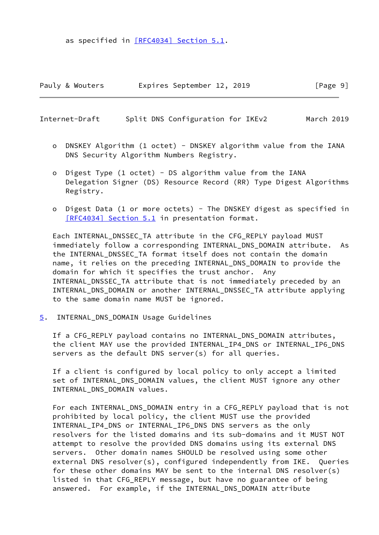as specified in [\[RFC4034\] Section](https://datatracker.ietf.org/doc/pdf/rfc4034#section-5.1) 5.1.

| Pauly & Wouters |  | Expires September 12, 2019 |  |  | [Page 9] |  |  |
|-----------------|--|----------------------------|--|--|----------|--|--|
|-----------------|--|----------------------------|--|--|----------|--|--|

<span id="page-10-1"></span>Internet-Draft Split DNS Configuration for IKEv2 March 2019

- o DNSKEY Algorithm (1 octet) DNSKEY algorithm value from the IANA DNS Security Algorithm Numbers Registry.
- o Digest Type (1 octet) DS algorithm value from the IANA Delegation Signer (DS) Resource Record (RR) Type Digest Algorithms Registry.
- o Digest Data (1 or more octets) The DNSKEY digest as specified in [\[RFC4034\] Section](https://datatracker.ietf.org/doc/pdf/rfc4034#section-5.1) 5.1 in presentation format.

 Each INTERNAL\_DNSSEC\_TA attribute in the CFG\_REPLY payload MUST immediately follow a corresponding INTERNAL DNS DOMAIN attribute. As the INTERNAL\_DNSSEC\_TA format itself does not contain the domain name, it relies on the preceding INTERNAL\_DNS\_DOMAIN to provide the domain for which it specifies the trust anchor. Any INTERNAL\_DNSSEC\_TA attribute that is not immediately preceded by an INTERNAL\_DNS\_DOMAIN or another INTERNAL\_DNSSEC\_TA attribute applying to the same domain name MUST be ignored.

<span id="page-10-0"></span>[5](#page-10-0). INTERNAL\_DNS\_DOMAIN Usage Guidelines

 If a CFG\_REPLY payload contains no INTERNAL\_DNS\_DOMAIN attributes, the client MAY use the provided INTERNAL\_IP4\_DNS or INTERNAL\_IP6\_DNS servers as the default DNS server(s) for all queries.

 If a client is configured by local policy to only accept a limited set of INTERNAL\_DNS\_DOMAIN values, the client MUST ignore any other INTERNAL\_DNS\_DOMAIN values.

 For each INTERNAL\_DNS\_DOMAIN entry in a CFG\_REPLY payload that is not prohibited by local policy, the client MUST use the provided INTERNAL\_IP4\_DNS or INTERNAL\_IP6\_DNS DNS servers as the only resolvers for the listed domains and its sub-domains and it MUST NOT attempt to resolve the provided DNS domains using its external DNS servers. Other domain names SHOULD be resolved using some other external DNS resolver(s), configured independently from IKE. Queries for these other domains MAY be sent to the internal DNS resolver(s) listed in that CFG\_REPLY message, but have no guarantee of being answered. For example, if the INTERNAL\_DNS\_DOMAIN attribute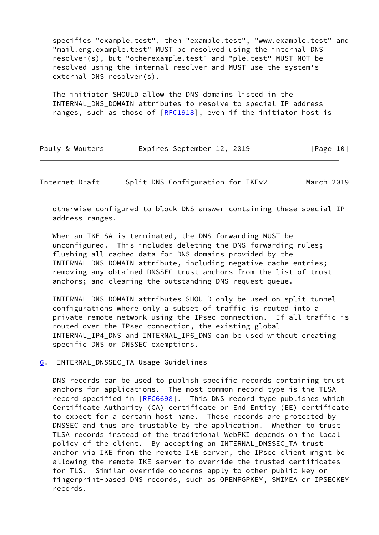specifies "example.test", then "example.test", "www.example.test" and "mail.eng.example.test" MUST be resolved using the internal DNS resolver(s), but "otherexample.test" and "ple.test" MUST NOT be resolved using the internal resolver and MUST use the system's external DNS resolver(s).

 The initiator SHOULD allow the DNS domains listed in the INTERNAL\_DNS\_DOMAIN attributes to resolve to special IP address ranges, such as those of  $[REC1918]$ , even if the initiator host is

| Pauly & Wouters |  | Expires September 12, 2019 |  |  | [Page 10] |  |
|-----------------|--|----------------------------|--|--|-----------|--|
|-----------------|--|----------------------------|--|--|-----------|--|

<span id="page-11-1"></span>Internet-Draft Split DNS Configuration for IKEv2 March 2019

 otherwise configured to block DNS answer containing these special IP address ranges.

 When an IKE SA is terminated, the DNS forwarding MUST be unconfigured. This includes deleting the DNS forwarding rules; flushing all cached data for DNS domains provided by the INTERNAL\_DNS\_DOMAIN attribute, including negative cache entries; removing any obtained DNSSEC trust anchors from the list of trust anchors; and clearing the outstanding DNS request queue.

 INTERNAL\_DNS\_DOMAIN attributes SHOULD only be used on split tunnel configurations where only a subset of traffic is routed into a private remote network using the IPsec connection. If all traffic is routed over the IPsec connection, the existing global INTERNAL\_IP4\_DNS and INTERNAL\_IP6\_DNS can be used without creating specific DNS or DNSSEC exemptions.

### <span id="page-11-0"></span>[6](#page-11-0). INTERNAL\_DNSSEC\_TA Usage Guidelines

 DNS records can be used to publish specific records containing trust anchors for applications. The most common record type is the TLSA record specified in [\[RFC6698](https://datatracker.ietf.org/doc/pdf/rfc6698)]. This DNS record type publishes which Certificate Authority (CA) certificate or End Entity (EE) certificate to expect for a certain host name. These records are protected by DNSSEC and thus are trustable by the application. Whether to trust TLSA records instead of the traditional WebPKI depends on the local policy of the client. By accepting an INTERNAL\_DNSSEC\_TA trust anchor via IKE from the remote IKE server, the IPsec client might be allowing the remote IKE server to override the trusted certificates for TLS. Similar override concerns apply to other public key or fingerprint-based DNS records, such as OPENPGPKEY, SMIMEA or IPSECKEY records.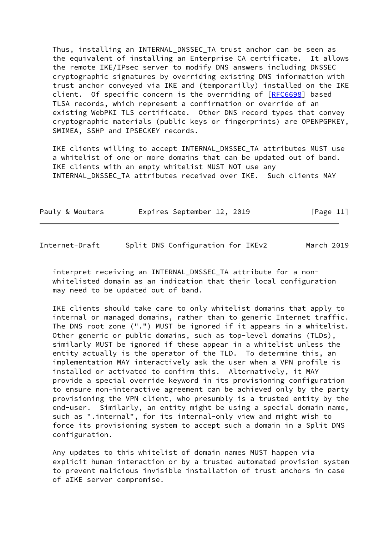Thus, installing an INTERNAL\_DNSSEC\_TA trust anchor can be seen as the equivalent of installing an Enterprise CA certificate. It allows the remote IKE/IPsec server to modify DNS answers including DNSSEC cryptographic signatures by overriding existing DNS information with trust anchor conveyed via IKE and (temporarilly) installed on the IKE client. Of specific concern is the overriding of [[RFC6698](https://datatracker.ietf.org/doc/pdf/rfc6698)] based TLSA records, which represent a confirmation or override of an existing WebPKI TLS certificate. Other DNS record types that convey cryptographic materials (public keys or fingerprints) are OPENPGPKEY, SMIMEA, SSHP and IPSECKEY records.

 IKE clients willing to accept INTERNAL\_DNSSEC\_TA attributes MUST use a whitelist of one or more domains that can be updated out of band. IKE clients with an empty whitelist MUST NOT use any INTERNAL\_DNSSEC\_TA attributes received over IKE. Such clients MAY

| Pauly & Wouters |  | Expires September 12, 2019 |  |  | [Page 11] |  |
|-----------------|--|----------------------------|--|--|-----------|--|
|-----------------|--|----------------------------|--|--|-----------|--|

<span id="page-12-0"></span>Internet-Draft Split DNS Configuration for IKEv2 March 2019

interpret receiving an INTERNAL DNSSEC TA attribute for a non whitelisted domain as an indication that their local configuration may need to be updated out of band.

 IKE clients should take care to only whitelist domains that apply to internal or managed domains, rather than to generic Internet traffic. The DNS root zone (".") MUST be ignored if it appears in a whitelist. Other generic or public domains, such as top-level domains (TLDs), similarly MUST be ignored if these appear in a whitelist unless the entity actually is the operator of the TLD. To determine this, an implementation MAY interactively ask the user when a VPN profile is installed or activated to confirm this. Alternatively, it MAY provide a special override keyword in its provisioning configuration to ensure non-interactive agreement can be achieved only by the party provisioning the VPN client, who presumbly is a trusted entity by the end-user. Similarly, an entity might be using a special domain name, such as ".internal", for its internal-only view and might wish to force its provisioning system to accept such a domain in a Split DNS configuration.

 Any updates to this whitelist of domain names MUST happen via explicit human interaction or by a trusted automated provision system to prevent malicious invisible installation of trust anchors in case of aIKE server compromise.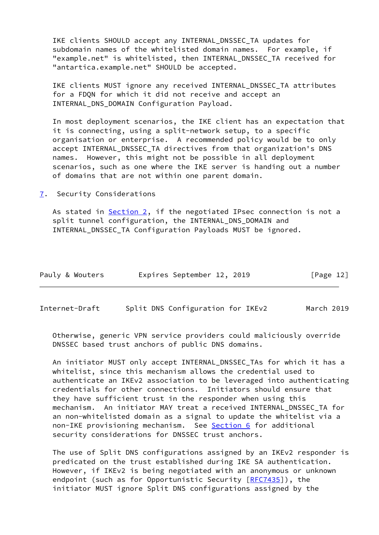IKE clients SHOULD accept any INTERNAL\_DNSSEC\_TA updates for subdomain names of the whitelisted domain names. For example, if "example.net" is whitelisted, then INTERNAL\_DNSSEC\_TA received for "antartica.example.net" SHOULD be accepted.

 IKE clients MUST ignore any received INTERNAL\_DNSSEC\_TA attributes for a FDQN for which it did not receive and accept an INTERNAL\_DNS\_DOMAIN Configuration Payload.

 In most deployment scenarios, the IKE client has an expectation that it is connecting, using a split-network setup, to a specific organisation or enterprise. A recommended policy would be to only accept INTERNAL\_DNSSEC\_TA directives from that organization's DNS names. However, this might not be possible in all deployment scenarios, such as one where the IKE server is handing out a number of domains that are not within one parent domain.

<span id="page-13-0"></span>[7](#page-13-0). Security Considerations

 As stated in [Section 2](#page-3-0), if the negotiated IPsec connection is not a split tunnel configuration, the INTERNAL\_DNS\_DOMAIN and INTERNAL\_DNSSEC\_TA Configuration Payloads MUST be ignored.

| Pauly & Wouters |  | Expires September 12, 2019 |  |  | [Page 12] |  |
|-----------------|--|----------------------------|--|--|-----------|--|
|-----------------|--|----------------------------|--|--|-----------|--|

Internet-Draft Split DNS Configuration for IKEv2 March 2019

 Otherwise, generic VPN service providers could maliciously override DNSSEC based trust anchors of public DNS domains.

 An initiator MUST only accept INTERNAL\_DNSSEC\_TAs for which it has a whitelist, since this mechanism allows the credential used to authenticate an IKEv2 association to be leveraged into authenticating credentials for other connections. Initiators should ensure that they have sufficient trust in the responder when using this mechanism. An initiator MAY treat a received INTERNAL\_DNSSEC\_TA for an non-whitelisted domain as a signal to update the whitelist via a non-IKE provisioning mechanism. See [Section 6](#page-11-0) for additional security considerations for DNSSEC trust anchors.

 The use of Split DNS configurations assigned by an IKEv2 responder is predicated on the trust established during IKE SA authentication. However, if IKEv2 is being negotiated with an anonymous or unknown endpoint (such as for Opportunistic Security [\[RFC7435](https://datatracker.ietf.org/doc/pdf/rfc7435)]), the initiator MUST ignore Split DNS configurations assigned by the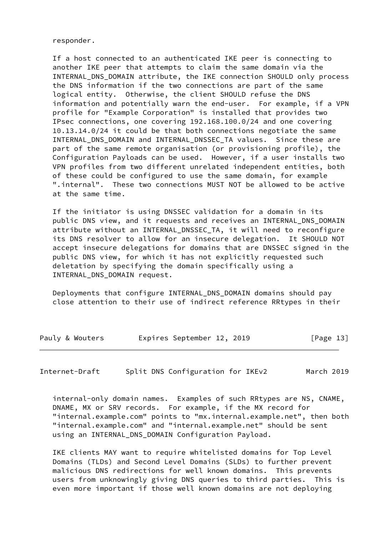responder.

 If a host connected to an authenticated IKE peer is connecting to another IKE peer that attempts to claim the same domain via the INTERNAL\_DNS\_DOMAIN attribute, the IKE connection SHOULD only process the DNS information if the two connections are part of the same logical entity. Otherwise, the client SHOULD refuse the DNS information and potentially warn the end-user. For example, if a VPN profile for "Example Corporation" is installed that provides two IPsec connections, one covering 192.168.100.0/24 and one covering 10.13.14.0/24 it could be that both connections negotiate the same INTERNAL\_DNS\_DOMAIN and INTERNAL\_DNSSEC\_TA values. Since these are part of the same remote organisation (or provisioning profile), the Configuration Payloads can be used. However, if a user installs two VPN profiles from two different unrelated independent entities, both of these could be configured to use the same domain, for example ".internal". These two connections MUST NOT be allowed to be active at the same time.

 If the initiator is using DNSSEC validation for a domain in its public DNS view, and it requests and receives an INTERNAL\_DNS\_DOMAIN attribute without an INTERNAL\_DNSSEC\_TA, it will need to reconfigure its DNS resolver to allow for an insecure delegation. It SHOULD NOT accept insecure delegations for domains that are DNSSEC signed in the public DNS view, for which it has not explicitly requested such deletation by specifying the domain specifically using a INTERNAL\_DNS\_DOMAIN request.

 Deployments that configure INTERNAL\_DNS\_DOMAIN domains should pay close attention to their use of indirect reference RRtypes in their

| Pauly & Wouters |  | Expires September 12, 2019 |  |  | [Page 13] |
|-----------------|--|----------------------------|--|--|-----------|
|-----------------|--|----------------------------|--|--|-----------|

<span id="page-14-0"></span>Internet-Draft Split DNS Configuration for IKEv2 March 2019

 internal-only domain names. Examples of such RRtypes are NS, CNAME, DNAME, MX or SRV records. For example, if the MX record for "internal.example.com" points to "mx.internal.example.net", then both "internal.example.com" and "internal.example.net" should be sent using an INTERNAL\_DNS\_DOMAIN Configuration Payload.

 IKE clients MAY want to require whitelisted domains for Top Level Domains (TLDs) and Second Level Domains (SLDs) to further prevent malicious DNS redirections for well known domains. This prevents users from unknowingly giving DNS queries to third parties. This is even more important if those well known domains are not deploying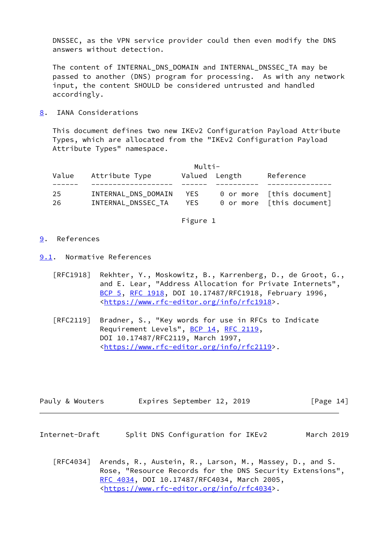DNSSEC, as the VPN service provider could then even modify the DNS answers without detection.

 The content of INTERNAL\_DNS\_DOMAIN and INTERNAL\_DNSSEC\_TA may be passed to another (DNS) program for processing. As with any network input, the content SHOULD be considered untrusted and handled accordingly.

<span id="page-15-0"></span>[8](#page-15-0). IANA Considerations

 This document defines two new IKEv2 Configuration Payload Attribute Types, which are allocated from the "IKEv2 Configuration Payload Attribute Types" namespace.

|           |                                           | Multi-       |               |                                                        |
|-----------|-------------------------------------------|--------------|---------------|--------------------------------------------------------|
| Value     | Attribute Type                            |              | Valued Length | Reference                                              |
| 25<br>26. | INTERNAL DNS DOMAIN<br>INTERNAL DNSSEC TA | YES.<br>YES. |               | 0 or more [this document]<br>0 or more [this document] |

Figure 1

- <span id="page-15-1"></span>[9](#page-15-1). References
- <span id="page-15-2"></span>[9.1](#page-15-2). Normative References
	- [RFC1918] Rekhter, Y., Moskowitz, B., Karrenberg, D., de Groot, G., and E. Lear, "Address Allocation for Private Internets", [BCP 5,](https://datatracker.ietf.org/doc/pdf/bcp5) [RFC 1918](https://datatracker.ietf.org/doc/pdf/rfc1918), DOI 10.17487/RFC1918, February 1996, <[https://www.rfc-editor.org/info/rfc1918>](https://www.rfc-editor.org/info/rfc1918).
	- [RFC2119] Bradner, S., "Key words for use in RFCs to Indicate Requirement Levels", [BCP 14](https://datatracker.ietf.org/doc/pdf/bcp14), [RFC 2119](https://datatracker.ietf.org/doc/pdf/rfc2119), DOI 10.17487/RFC2119, March 1997, <[https://www.rfc-editor.org/info/rfc2119>](https://www.rfc-editor.org/info/rfc2119).

| Pauly & Wouters |  | Expires September 12, 2019 |  |  | [Page 14] |
|-----------------|--|----------------------------|--|--|-----------|
|-----------------|--|----------------------------|--|--|-----------|

- <span id="page-15-3"></span>Internet-Draft Split DNS Configuration for IKEv2 March 2019
	- [RFC4034] Arends, R., Austein, R., Larson, M., Massey, D., and S. Rose, "Resource Records for the DNS Security Extensions", [RFC 4034,](https://datatracker.ietf.org/doc/pdf/rfc4034) DOI 10.17487/RFC4034, March 2005, <[https://www.rfc-editor.org/info/rfc4034>](https://www.rfc-editor.org/info/rfc4034).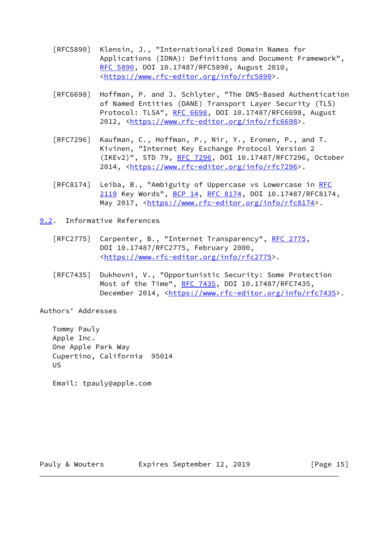- [RFC5890] Klensin, J., "Internationalized Domain Names for Applications (IDNA): Definitions and Document Framework", [RFC 5890,](https://datatracker.ietf.org/doc/pdf/rfc5890) DOI 10.17487/RFC5890, August 2010, <[https://www.rfc-editor.org/info/rfc5890>](https://www.rfc-editor.org/info/rfc5890).
- [RFC6698] Hoffman, P. and J. Schlyter, "The DNS-Based Authentication of Named Entities (DANE) Transport Layer Security (TLS) Protocol: TLSA", [RFC 6698,](https://datatracker.ietf.org/doc/pdf/rfc6698) DOI 10.17487/RFC6698, August 2012, [<https://www.rfc-editor.org/info/rfc6698](https://www.rfc-editor.org/info/rfc6698)>.
- [RFC7296] Kaufman, C., Hoffman, P., Nir, Y., Eronen, P., and T. Kivinen, "Internet Key Exchange Protocol Version 2 (IKEv2)", STD 79, [RFC 7296](https://datatracker.ietf.org/doc/pdf/rfc7296), DOI 10.17487/RFC7296, October 2014, [<https://www.rfc-editor.org/info/rfc7296](https://www.rfc-editor.org/info/rfc7296)>.
- [RFC8174] Leiba, B., "Ambiguity of Uppercase vs Lowercase in [RFC](https://datatracker.ietf.org/doc/pdf/rfc2119) [2119](https://datatracker.ietf.org/doc/pdf/rfc2119) Key Words", [BCP 14](https://datatracker.ietf.org/doc/pdf/bcp14), [RFC 8174,](https://datatracker.ietf.org/doc/pdf/rfc8174) DOI 10.17487/RFC8174, May 2017, [<https://www.rfc-editor.org/info/rfc8174](https://www.rfc-editor.org/info/rfc8174)>.
- <span id="page-16-0"></span>[9.2](#page-16-0). Informative References
	- [RFC2775] Carpenter, B., "Internet Transparency", [RFC 2775,](https://datatracker.ietf.org/doc/pdf/rfc2775) DOI 10.17487/RFC2775, February 2000, <[https://www.rfc-editor.org/info/rfc2775>](https://www.rfc-editor.org/info/rfc2775).
	- [RFC7435] Dukhovni, V., "Opportunistic Security: Some Protection Most of the Time", [RFC 7435](https://datatracker.ietf.org/doc/pdf/rfc7435), DOI 10.17487/RFC7435, December 2014, <<https://www.rfc-editor.org/info/rfc7435>>.

Authors' Addresses

 Tommy Pauly Apple Inc. One Apple Park Way Cupertino, California 95014 US

Email: tpauly@apple.com

Pauly & Wouters **Expires September 12, 2019** [Page 15]